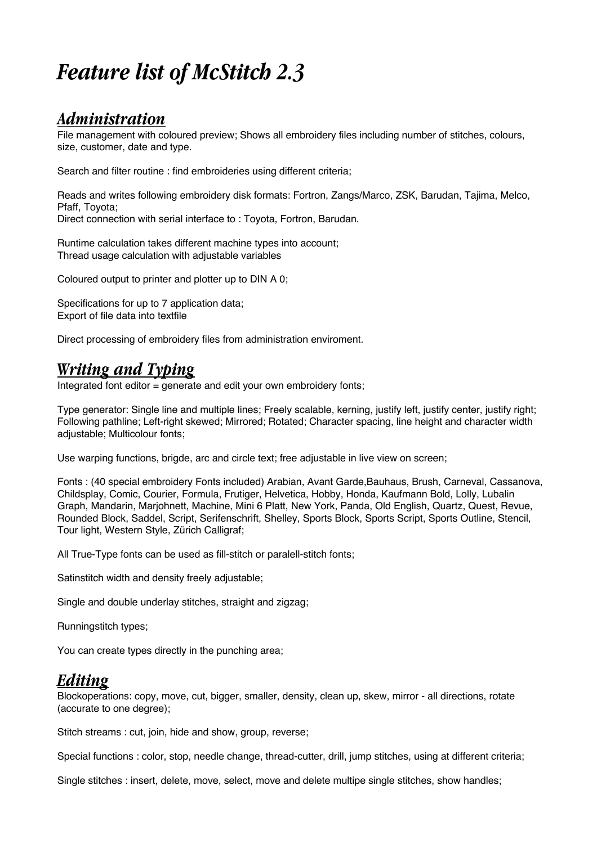# *Feature list of McStitch 2.3*

### *Administration*

File management with coloured preview; Shows all embroidery files including number of stitches, colours, size, customer, date and type.

Search and filter routine : find embroideries using different criteria;

Reads and writes following embroidery disk formats: Fortron, Zangs/Marco, ZSK, Barudan, Tajima, Melco, Pfaff, Toyota; Direct connection with serial interface to : Toyota, Fortron, Barudan.

Runtime calculation takes different machine types into account; Thread usage calculation with adjustable variables

Coloured output to printer and plotter up to DIN A 0:

Specifications for up to 7 application data: Export of file data into textfile

Direct processing of embroidery files from administration enviroment.

## *Writing and Typing*

Integrated font editor  $=$  generate and edit your own embroidery fonts;

Type generator: Single line and multiple lines; Freely scalable, kerning, justify left, justify center, justify right; Following pathline; Left-right skewed; Mirrored; Rotated; Character spacing, line height and character width adjustable; Multicolour fonts;

Use warping functions, brigde, arc and circle text; free adjustable in live view on screen;

Fonts : (40 special embroidery Fonts included) Arabian, Avant Garde,Bauhaus, Brush, Carneval, Cassanova, Childsplay, Comic, Courier, Formula, Frutiger, Helvetica, Hobby, Honda, Kaufmann Bold, Lolly, Lubalin Graph, Mandarin, Marjohnett, Machine, Mini 6 Platt, New York, Panda, Old English, Quartz, Quest, Revue, Rounded Block, Saddel, Script, Serifenschrift, Shelley, Sports Block, Sports Script, Sports Outline, Stencil, Tour light, Western Style, Zürich Calligraf;

All True-Type fonts can be used as fill-stitch or paralell-stitch fonts;

Satinstitch width and density freely adjustable;

Single and double underlay stitches, straight and zigzag;

Runningstitch types;

You can create types directly in the punching area;

#### *Editing*

Blockoperations: copy, move, cut, bigger, smaller, density, clean up, skew, mirror - all directions, rotate (accurate to one degree);

Stitch streams : cut, join, hide and show, group, reverse;

Special functions : color, stop, needle change, thread-cutter, drill, jump stitches, using at different criteria;

Single stitches : insert, delete, move, select, move and delete multipe single stitches, show handles;